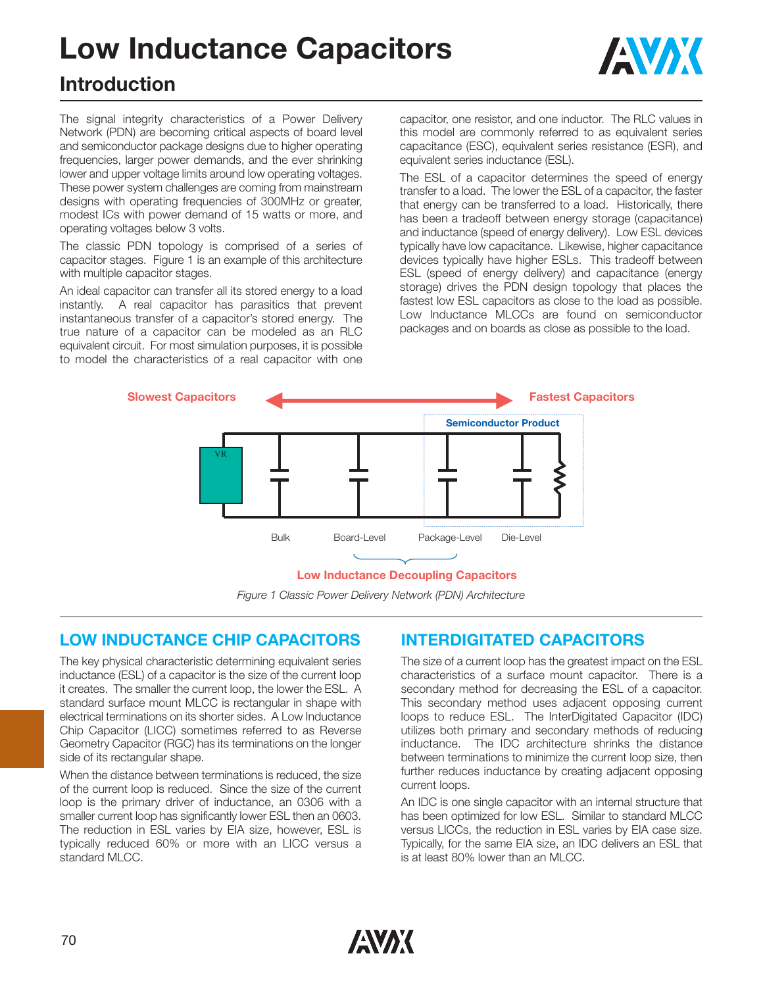# **Low Inductance Capacitors**



# **Introduction**

The signal integrity characteristics of a Power Delivery Network (PDN) are becoming critical aspects of board level and semiconductor package designs due to higher operating frequencies, larger power demands, and the ever shrinking lower and upper voltage limits around low operating voltages. These power system challenges are coming from mainstream designs with operating frequencies of 300MHz or greater, modest ICs with power demand of 15 watts or more, and operating voltages below 3 volts.

The classic PDN topology is comprised of a series of capacitor stages. Figure 1 is an example of this architecture with multiple capacitor stages.

An ideal capacitor can transfer all its stored energy to a load instantly. A real capacitor has parasitics that prevent instantaneous transfer of a capacitor's stored energy. The true nature of a capacitor can be modeled as an RLC equivalent circuit. For most simulation purposes, it is possible to model the characteristics of a real capacitor with one capacitor, one resistor, and one inductor. The RLC values in this model are commonly referred to as equivalent series capacitance (ESC), equivalent series resistance (ESR), and equivalent series inductance (ESL).

The ESL of a capacitor determines the speed of energy transfer to a load. The lower the ESL of a capacitor, the faster that energy can be transferred to a load. Historically, there has been a tradeoff between energy storage (capacitance) and inductance (speed of energy delivery). Low ESL devices typically have low capacitance. Likewise, higher capacitance devices typically have higher ESLs. This tradeoff between ESL (speed of energy delivery) and capacitance (energy storage) drives the PDN design topology that places the fastest low ESL capacitors as close to the load as possible. Low Inductance MLCCs are found on semiconductor packages and on boards as close as possible to the load.



*Figure 1 Classic Power Delivery Network (PDN) Architecture*

# **LOW INDUCTANCE CHIP CAPACITORS**

The key physical characteristic determining equivalent series inductance (ESL) of a capacitor is the size of the current loop it creates. The smaller the current loop, the lower the ESL. A standard surface mount MLCC is rectangular in shape with electrical terminations on its shorter sides. A Low Inductance Chip Capacitor (LICC) sometimes referred to as Reverse Geometry Capacitor (RGC) has its terminations on the longer side of its rectangular shape.

When the distance between terminations is reduced, the size of the current loop is reduced. Since the size of the current loop is the primary driver of inductance, an 0306 with a smaller current loop has significantly lower ESL then an 0603. The reduction in ESL varies by EIA size, however, ESL is typically reduced 60% or more with an LICC versus a standard MLCC.

# **INTERDIGITATED CAPACITORS**

The size of a current loop has the greatest impact on the ESL characteristics of a surface mount capacitor. There is a secondary method for decreasing the ESL of a capacitor. This secondary method uses adjacent opposing current loops to reduce ESL. The InterDigitated Capacitor (IDC) utilizes both primary and secondary methods of reducing inductance. The IDC architecture shrinks the distance between terminations to minimize the current loop size, then further reduces inductance by creating adjacent opposing current loops.

An IDC is one single capacitor with an internal structure that has been optimized for low ESL. Similar to standard MLCC versus LICCs, the reduction in ESL varies by EIA case size. Typically, for the same EIA size, an IDC delivers an ESL that is at least 80% lower than an MLCC.

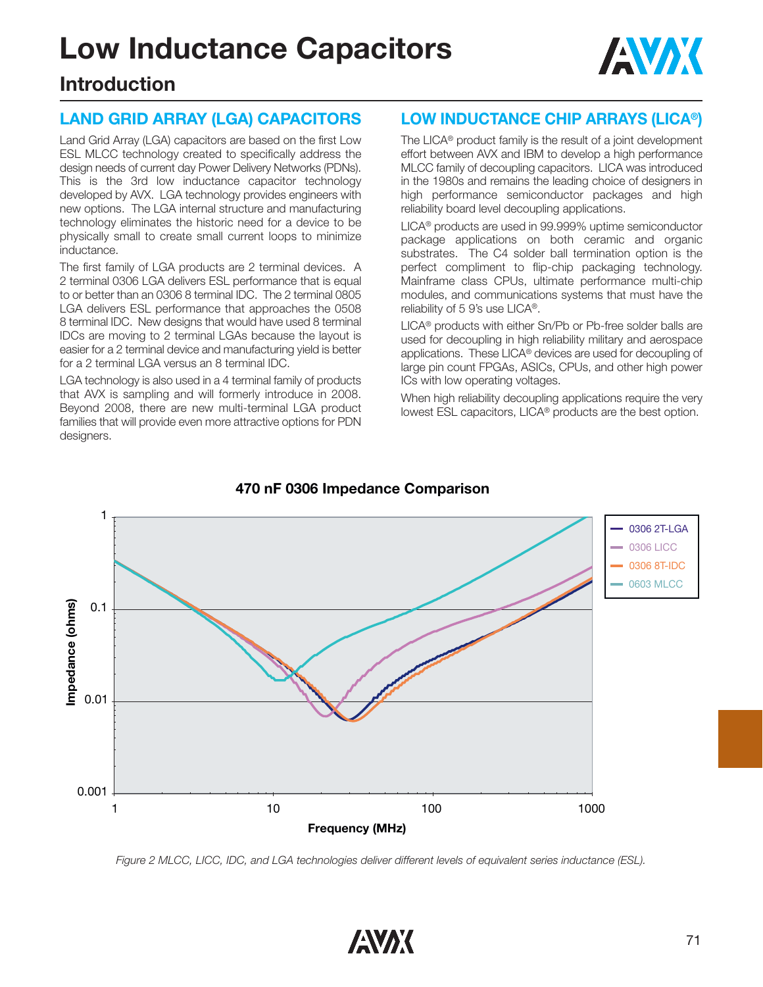# **Low Inductance Capacitors**



# **Introduction**

# **LAND GRID ARRAY (LGA) CAPACITORS**

Land Grid Array (LGA) capacitors are based on the first Low ESL MLCC technology created to specifically address the design needs of current day Power Delivery Networks (PDNs). This is the 3rd low inductance capacitor technology developed by AVX. LGA technology provides engineers with new options. The LGA internal structure and manufacturing technology eliminates the historic need for a device to be physically small to create small current loops to minimize inductance.

The first family of LGA products are 2 terminal devices. A 2 terminal 0306 LGA delivers ESL performance that is equal to or better than an 0306 8 terminal IDC. The 2 terminal 0805 LGA delivers ESL performance that approaches the 0508 8 terminal IDC. New designs that would have used 8 terminal IDCs are moving to 2 terminal LGAs because the layout is easier for a 2 terminal device and manufacturing yield is better for a 2 terminal LGA versus an 8 terminal IDC.

LGA technology is also used in a 4 terminal family of products that AVX is sampling and will formerly introduce in 2008. Beyond 2008, there are new multi-terminal LGA product families that will provide even more attractive options for PDN designers.

# **LOW INDUCTANCE CHIP ARRAYS (LICA®)**

The LICA® product family is the result of a joint development effort between AVX and IBM to develop a high performance MLCC family of decoupling capacitors. LICA was introduced in the 1980s and remains the leading choice of designers in high performance semiconductor packages and high reliability board level decoupling applications.

LICA® products are used in 99.999% uptime semiconductor package applications on both ceramic and organic substrates. The C4 solder ball termination option is the perfect compliment to flip-chip packaging technology. Mainframe class CPUs, ultimate performance multi-chip modules, and communications systems that must have the reliability of 5 9's use LICA®.

LICA® products with either Sn/Pb or Pb-free solder balls are used for decoupling in high reliability military and aerospace applications. These LICA® devices are used for decoupling of large pin count FPGAs, ASICs, CPUs, and other high power ICs with low operating voltages.

When high reliability decoupling applications require the very lowest ESL capacitors, LICA® products are the best option.



#### **470 nF 0306 Impedance Comparison**

*Figure 2 MLCC, LICC, IDC, and LGA technologies deliver different levels of equivalent series inductance (ESL).*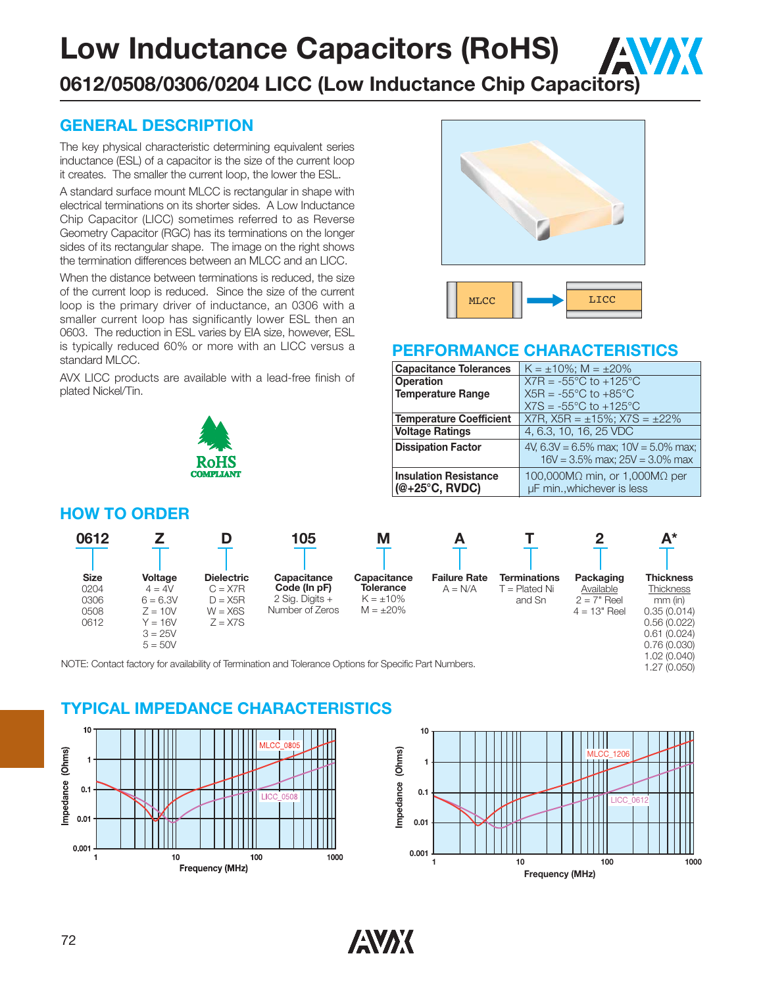# **Low Inductance Capacitors (RoHS)**

# **0612/0508/0306/0204 LICC (Low Inductance Chip Capacitors)**

## **GENERAL DESCRIPTION**

The key physical characteristic determining equivalent series inductance (ESL) of a capacitor is the size of the current loop it creates. The smaller the current loop, the lower the ESL.

A standard surface mount MLCC is rectangular in shape with electrical terminations on its shorter sides. A Low Inductance Chip Capacitor (LICC) sometimes referred to as Reverse Geometry Capacitor (RGC) has its terminations on the longer sides of its rectangular shape. The image on the right shows the termination differences between an MLCC and an LICC.

When the distance between terminations is reduced, the size of the current loop is reduced. Since the size of the current loop is the primary driver of inductance, an 0306 with a smaller current loop has significantly lower ESL then an 0603. The reduction in ESL varies by EIA size, however, ESL is typically reduced 60% or more with an LICC versus a standard MLCC.

AVX LICC products are available with a lead-free finish of plated Nickel/Tin.



# MLCC **I Example 1** LICC

AVAK

#### **PERFORMANCE CHARACTERISTICS**

| <b>Capacitance Tolerances</b>                           | $K = \pm 10\%$ ; M = $\pm 20\%$                                                    |
|---------------------------------------------------------|------------------------------------------------------------------------------------|
| <b>Operation</b>                                        | $X7R = -55^{\circ}C$ to $+125^{\circ}C$                                            |
| <b>Temperature Range</b>                                | $X5R = -55^{\circ}C$ to $+85^{\circ}C$                                             |
|                                                         | $X7S = -55^{\circ}C$ to $+125^{\circ}C$                                            |
| <b>Temperature Coefficient</b>                          | $X7R$ , $X5R = \pm 15\%$ ; $X7S = \pm 22\%$                                        |
| <b>Voltage Ratings</b>                                  | 4, 6.3, 10, 16, 25 VDC                                                             |
| <b>Dissipation Factor</b>                               | 4V, 6.3V = $6.5\%$ max; 10V = $5.0\%$ max;<br>$16V = 3.5\%$ max; $25V = 3.0\%$ max |
| <b>Insulation Resistance</b><br>$(@+25^{\circ}C, RVDC)$ | 100,000M $\Omega$ min, or 1,000M $\Omega$ per<br>µF min., whichever is less        |

## **HOW TO ORDER**

| 0612                                        |                                                                                       |                                                                       | 105                                                                                                    | M                                                                   |                                  |                                                |                                                           | $A^*$                                                                                                                      |
|---------------------------------------------|---------------------------------------------------------------------------------------|-----------------------------------------------------------------------|--------------------------------------------------------------------------------------------------------|---------------------------------------------------------------------|----------------------------------|------------------------------------------------|-----------------------------------------------------------|----------------------------------------------------------------------------------------------------------------------------|
| <b>Size</b><br>0204<br>0306<br>0508<br>0612 | Voltage<br>$4 = 4V$<br>$6 = 6.3V$<br>$Z = 10V$<br>$Y = 16V$<br>$3 = 25V$<br>$5 = 50V$ | <b>Dielectric</b><br>$C = X7R$<br>$D = X5R$<br>$W = X6S$<br>$Z = X7S$ | Capacitance<br>Code (In pF)<br>$2$ Sig. Digits +<br>Number of Zeros                                    | Capacitance<br><b>Tolerance</b><br>$K = \pm 10\%$<br>$M = \pm 20\%$ | <b>Failure Rate</b><br>$A = N/A$ | <b>Terminations</b><br>F = Plated Ni<br>and Sn | Packaging<br>Available<br>$2 = 7"$ Reel<br>$4 = 13"$ Reel | <b>Thickness</b><br><b>Thickness</b><br>mm (in)<br>0.35(0.014)<br>0.56(0.022)<br>0.61(0.024)<br>0.76(0.030)<br>1.02(0.040) |
|                                             |                                                                                       |                                                                       | NOTE: Contact factory for availability of Termination and Tolerance Options for Specific Part Numbers. |                                                                     |                                  |                                                |                                                           | 1.27 (0.050)                                                                                                               |

#### **TYPICAL IMPEDANCE CHARACTERISTICS**